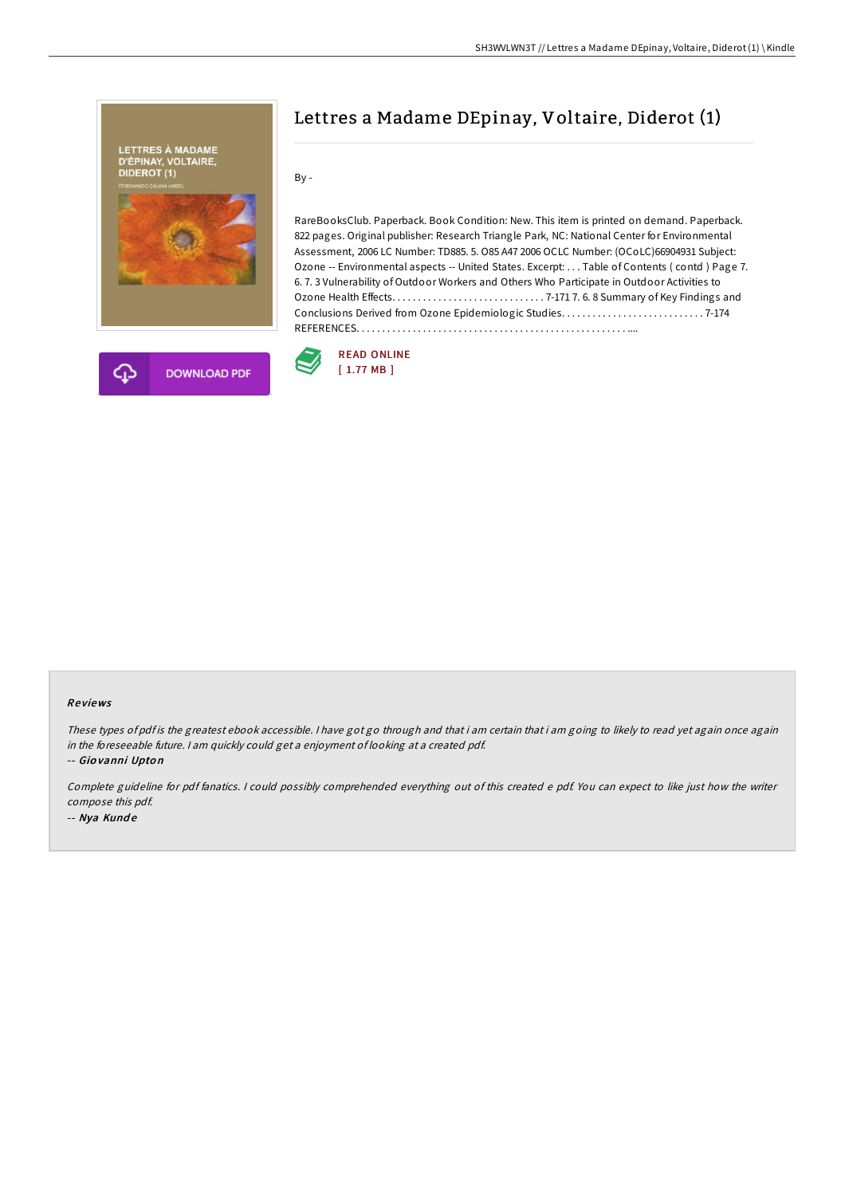



# Lettres a Madame DEpinay, Voltaire, Diderot (1)

By -

RareBooksClub. Paperback. Book Condition: New. This item is printed on demand. Paperback. 822 pages. Original publisher: Research Triangle Park, NC: National Center for Environmental Assessment, 2006 LC Number: TD885. 5. O85 A47 2006 OCLC Number: (OCoLC)66904931 Subject: Ozone -- Environmental aspects -- United States. Excerpt: . . . Table of Contents ( contd ) Page 7. 6. 7. 3 Vulnerability of Outdoor Workers and Others Who Participate in Outdoor Activities to Ozone Health Effects. . . . . . . . . . . . . . . . . . . . . . . . . . . . . . 7-171 7. 6. 8 Summary of Key Findings and Conclusions Derived from Ozone Epidemiologic Studies. . . . . . . . . . . . . . . . . . . . . . . . . . . . 7-174 REFERENCES. . . . . . . . . . . . . . . . . . . . . . . . . . . . . . . . . . . . . . . . . . . . . . . . . . . . . ....



#### Re views

These types of pdf is the greatest ebook accessible. I have got go through and that i am certain that i am going to likely to read yet again once again in the foreseeable future. <sup>I</sup> am quickly could get <sup>a</sup> enjoyment of looking at <sup>a</sup> created pdf.

-- Gio vanni Upto <sup>n</sup>

Complete guideline for pdf fanatics. <sup>I</sup> could possibly comprehended everything out of this created <sup>e</sup> pdf. You can expect to like just how the writer compose this pdf.

-- Nya Kund <sup>e</sup>